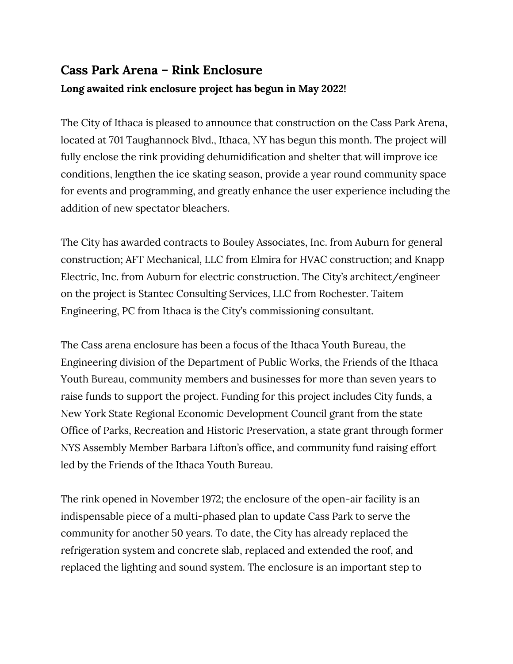## **Cass Park Arena – Rink Enclosure Long awaited rink enclosure project has begun in May 2022!**

The City of Ithaca is pleased to announce that construction on the Cass Park Arena, located at 701 Taughannock Blvd., Ithaca, NY has begun this month. The project will fully enclose the rink providing dehumidification and shelter that will improve ice conditions, lengthen the ice skating season, provide a year round community space for events and programming, and greatly enhance the user experience including the addition of new spectator bleachers.

The City has awarded contracts to Bouley Associates, Inc. from Auburn for general construction; AFT Mechanical, LLC from Elmira for HVAC construction; and Knapp Electric, Inc. from Auburn for electric construction. The City's architect/engineer on the project is Stantec Consulting Services, LLC from Rochester. Taitem Engineering, PC from Ithaca is the City's commissioning consultant.

The Cass arena enclosure has been a focus of the Ithaca Youth Bureau, the Engineering division of the Department of Public Works, the Friends of the Ithaca Youth Bureau, community members and businesses for more than seven years to raise funds to support the project. Funding for this project includes City funds, a New York State Regional Economic Development Council grant from the state Office of Parks, Recreation and Historic Preservation, a state grant through former NYS Assembly Member Barbara Lifton's office, and community fund raising effort led by the Friends of the Ithaca Youth Bureau.

The rink opened in November 1972; the enclosure of the open-air facility is an indispensable piece of a multi-phased plan to update Cass Park to serve the community for another 50 years. To date, the City has already replaced the refrigeration system and concrete slab, replaced and extended the roof, and replaced the lighting and sound system. The enclosure is an important step to